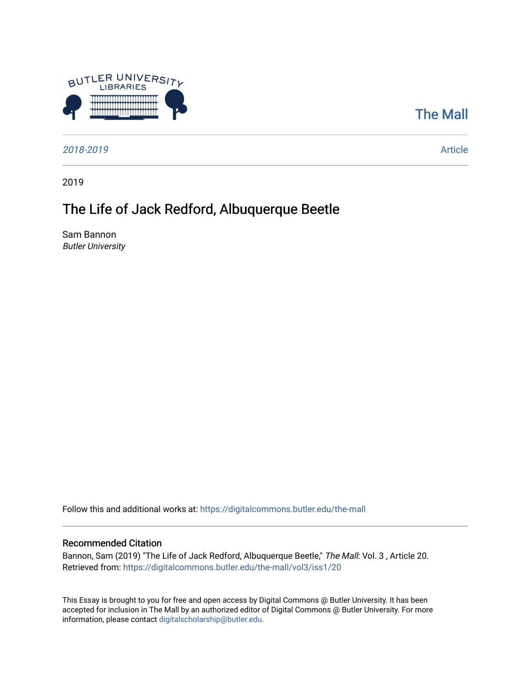

## [The Mall](https://digitalcommons.butler.edu/the-mall)

[2018-2019](https://digitalcommons.butler.edu/the-mall/vol3?) [Article](https://digitalcommons.butler.edu/the-mall/vol3/iss1/20?) 

2019

# The Life of Jack Redford, Albuquerque Beetle

Sam Bannon Butler University

Follow this and additional works at: [https://digitalcommons.butler.edu/the-mall](https://digitalcommons.butler.edu/the-mall?utm_source=digitalcommons.butler.edu%2Fthe-mall%2Fvol3%2Fiss1%2F20&utm_medium=PDF&utm_campaign=PDFCoverPages) 

### Recommended Citation

Bannon, Sam (2019) "The Life of Jack Redford, Albuquerque Beetle," The Mall: Vol. 3, Article 20. Retrieved from: [https://digitalcommons.butler.edu/the-mall/vol3/iss1/20](https://digitalcommons.butler.edu/the-mall/vol3/iss1/20?utm_source=digitalcommons.butler.edu%2Fthe-mall%2Fvol3%2Fiss1%2F20&utm_medium=PDF&utm_campaign=PDFCoverPages) 

This Essay is brought to you for free and open access by Digital Commons @ Butler University. It has been accepted for inclusion in The Mall by an authorized editor of Digital Commons @ Butler University. For more information, please contact [digitalscholarship@butler.edu](mailto:digitalscholarship@butler.edu).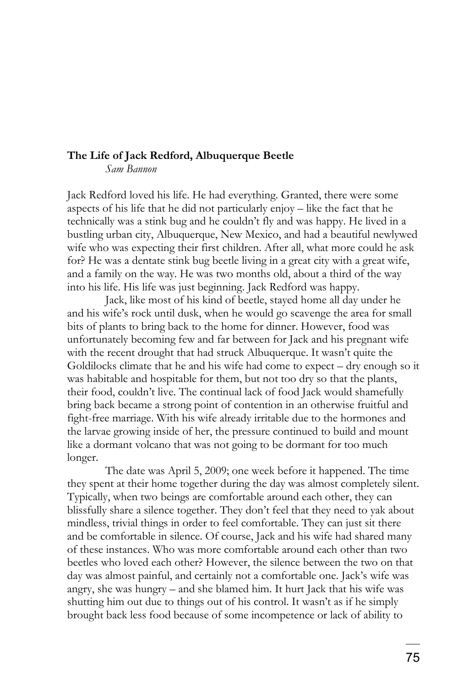### **The Life of Jack Redford, Albuquerque Beetle**

*Sam Bannon* 

Jack Redford loved his life. He had everything. Granted, there were some aspects of his life that he did not particularly enjoy – like the fact that he technically was a stink bug and he couldn't fly and was happy. He lived in a bustling urban city, Albuquerque, New Mexico, and had a beautiful newlywed wife who was expecting their first children. After all, what more could he ask for? He was a dentate stink bug beetle living in a great city with a great wife, and a family on the way. He was two months old, about a third of the way into his life. His life was just beginning. Jack Redford was happy.

Jack, like most of his kind of beetle, stayed home all day under he and his wife's rock until dusk, when he would go scavenge the area for small bits of plants to bring back to the home for dinner. However, food was unfortunately becoming few and far between for Jack and his pregnant wife with the recent drought that had struck Albuquerque. It wasn't quite the Goldilocks climate that he and his wife had come to expect – dry enough so it was habitable and hospitable for them, but not too dry so that the plants, their food, couldn't live. The continual lack of food Jack would shamefully bring back became a strong point of contention in an otherwise fruitful and fight-free marriage. With his wife already irritable due to the hormones and the larvae growing inside of her, the pressure continued to build and mount like a dormant volcano that was not going to be dormant for too much longer.

The date was April 5, 2009; one week before it happened. The time they spent at their home together during the day was almost completely silent. Typically, when two beings are comfortable around each other, they can blissfully share a silence together. They don't feel that they need to yak about mindless, trivial things in order to feel comfortable. They can just sit there and be comfortable in silence. Of course, Jack and his wife had shared many of these instances. Who was more comfortable around each other than two beetles who loved each other? However, the silence between the two on that day was almost painful, and certainly not a comfortable one. Jack's wife was angry, she was hungry – and she blamed him. It hurt Jack that his wife was shutting him out due to things out of his control. It wasn't as if he simply brought back less food because of some incompetence or lack of ability to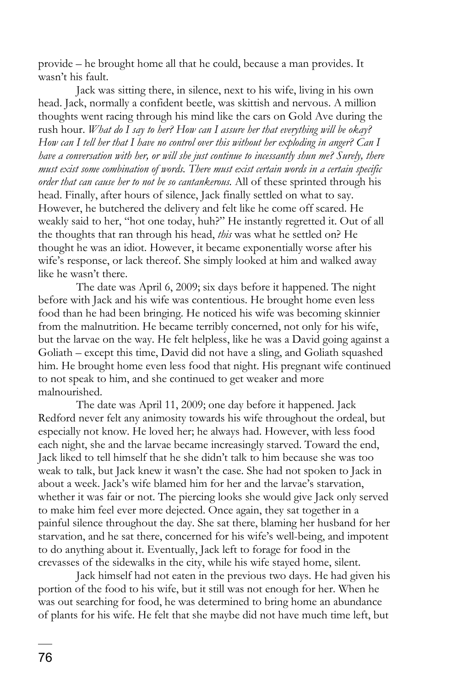provide – he brought home all that he could, because a man provides. It wasn't his fault.

Jack was sitting there, in silence, next to his wife, living in his own head. Jack, normally a confident beetle, was skittish and nervous. A million thoughts went racing through his mind like the cars on Gold Ave during the rush hour. *What do I say to her? How can I assure her that everything will be okay? How can I tell her that I have no control over this without her exploding in anger? Can I have a conversation with her, or will she just continue to incessantly shun me? Surely, there must exist some combination of words. There must exist certain words in a certain specific order that can cause her to not be so cantankerous.* All of these sprinted through his head. Finally, after hours of silence, Jack finally settled on what to say. However, he butchered the delivery and felt like he come off scared. He weakly said to her, "hot one today, huh?" He instantly regretted it. Out of all the thoughts that ran through his head, *this* was what he settled on? He thought he was an idiot. However, it became exponentially worse after his wife's response, or lack thereof. She simply looked at him and walked away like he wasn't there.

The date was April 6, 2009; six days before it happened. The night before with Jack and his wife was contentious. He brought home even less food than he had been bringing. He noticed his wife was becoming skinnier from the malnutrition. He became terribly concerned, not only for his wife, but the larvae on the way. He felt helpless, like he was a David going against a Goliath – except this time, David did not have a sling, and Goliath squashed him. He brought home even less food that night. His pregnant wife continued to not speak to him, and she continued to get weaker and more malnourished.

The date was April 11, 2009; one day before it happened. Jack Redford never felt any animosity towards his wife throughout the ordeal, but especially not know. He loved her; he always had. However, with less food each night, she and the larvae became increasingly starved. Toward the end, Jack liked to tell himself that he she didn't talk to him because she was too weak to talk, but Jack knew it wasn't the case. She had not spoken to Jack in about a week. Jack's wife blamed him for her and the larvae's starvation, whether it was fair or not. The piercing looks she would give Jack only served to make him feel ever more dejected. Once again, they sat together in a painful silence throughout the day. She sat there, blaming her husband for her starvation, and he sat there, concerned for his wife's well-being, and impotent to do anything about it. Eventually, Jack left to forage for food in the crevasses of the sidewalks in the city, while his wife stayed home, silent.

Jack himself had not eaten in the previous two days. He had given his portion of the food to his wife, but it still was not enough for her. When he was out searching for food, he was determined to bring home an abundance of plants for his wife. He felt that she maybe did not have much time left, but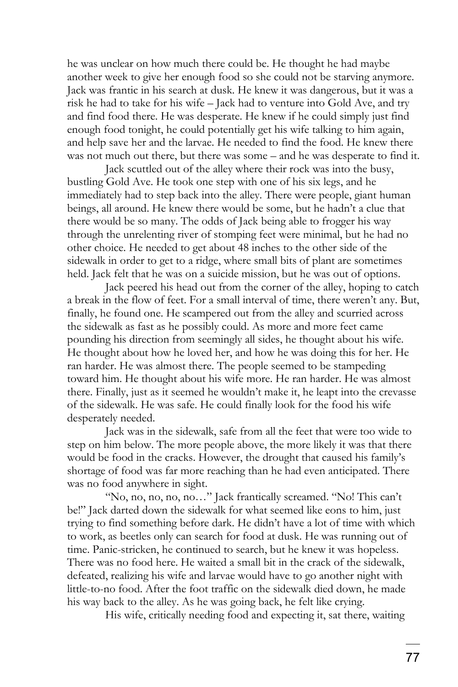he was unclear on how much there could be. He thought he had maybe another week to give her enough food so she could not be starving anymore. Jack was frantic in his search at dusk. He knew it was dangerous, but it was a risk he had to take for his wife – Jack had to venture into Gold Ave, and try and find food there. He was desperate. He knew if he could simply just find enough food tonight, he could potentially get his wife talking to him again, and help save her and the larvae. He needed to find the food. He knew there was not much out there, but there was some – and he was desperate to find it.

Jack scuttled out of the alley where their rock was into the busy, bustling Gold Ave. He took one step with one of his six legs, and he immediately had to step back into the alley. There were people, giant human beings, all around. He knew there would be some, but he hadn't a clue that there would be so many. The odds of Jack being able to frogger his way through the unrelenting river of stomping feet were minimal, but he had no other choice. He needed to get about 48 inches to the other side of the sidewalk in order to get to a ridge, where small bits of plant are sometimes held. Jack felt that he was on a suicide mission, but he was out of options.

Jack peered his head out from the corner of the alley, hoping to catch a break in the flow of feet. For a small interval of time, there weren't any. But, finally, he found one. He scampered out from the alley and scurried across the sidewalk as fast as he possibly could. As more and more feet came pounding his direction from seemingly all sides, he thought about his wife. He thought about how he loved her, and how he was doing this for her. He ran harder. He was almost there. The people seemed to be stampeding toward him. He thought about his wife more. He ran harder. He was almost there. Finally, just as it seemed he wouldn't make it, he leapt into the crevasse of the sidewalk. He was safe. He could finally look for the food his wife desperately needed.

Jack was in the sidewalk, safe from all the feet that were too wide to step on him below. The more people above, the more likely it was that there would be food in the cracks. However, the drought that caused his family's shortage of food was far more reaching than he had even anticipated. There was no food anywhere in sight.

"No, no, no, no, no…" Jack frantically screamed. "No! This can't be!" Jack darted down the sidewalk for what seemed like eons to him, just trying to find something before dark. He didn't have a lot of time with which to work, as beetles only can search for food at dusk. He was running out of time. Panic-stricken, he continued to search, but he knew it was hopeless. There was no food here. He waited a small bit in the crack of the sidewalk, defeated, realizing his wife and larvae would have to go another night with little-to-no food. After the foot traffic on the sidewalk died down, he made his way back to the alley. As he was going back, he felt like crying.

His wife, critically needing food and expecting it, sat there, waiting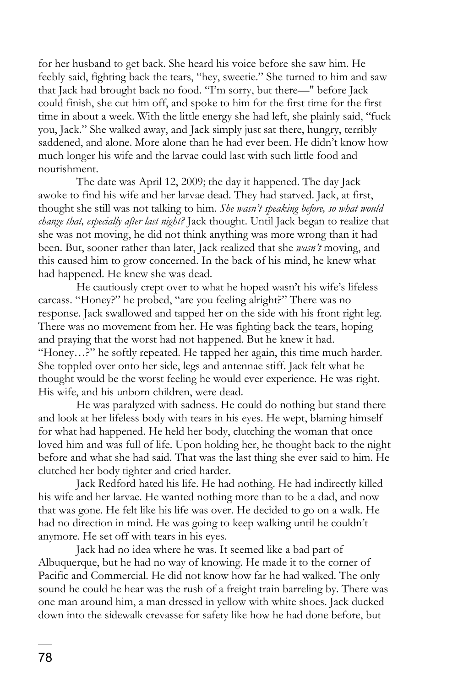for her husband to get back. She heard his voice before she saw him. He feebly said, fighting back the tears, "hey, sweetie." She turned to him and saw that Jack had brought back no food. "I'm sorry, but there—" before Jack could finish, she cut him off, and spoke to him for the first time for the first time in about a week. With the little energy she had left, she plainly said, "fuck you, Jack." She walked away, and Jack simply just sat there, hungry, terribly saddened, and alone. More alone than he had ever been. He didn't know how much longer his wife and the larvae could last with such little food and nourishment.

The date was April 12, 2009; the day it happened. The day Jack awoke to find his wife and her larvae dead. They had starved. Jack, at first, thought she still was not talking to him. *She wasn't speaking before, so what would change that, especially after last night?* Jack thought. Until Jack began to realize that she was not moving, he did not think anything was more wrong than it had been. But, sooner rather than later, Jack realized that she *wasn't* moving, and this caused him to grow concerned. In the back of his mind, he knew what had happened. He knew she was dead.

He cautiously crept over to what he hoped wasn't his wife's lifeless carcass. "Honey?" he probed, "are you feeling alright?" There was no response. Jack swallowed and tapped her on the side with his front right leg. There was no movement from her. He was fighting back the tears, hoping and praying that the worst had not happened. But he knew it had. "Honey…?" he softly repeated. He tapped her again, this time much harder. She toppled over onto her side, legs and antennae stiff. Jack felt what he thought would be the worst feeling he would ever experience. He was right. His wife, and his unborn children, were dead.

He was paralyzed with sadness. He could do nothing but stand there and look at her lifeless body with tears in his eyes. He wept, blaming himself for what had happened. He held her body, clutching the woman that once loved him and was full of life. Upon holding her, he thought back to the night before and what she had said. That was the last thing she ever said to him. He clutched her body tighter and cried harder.

Jack Redford hated his life. He had nothing. He had indirectly killed his wife and her larvae. He wanted nothing more than to be a dad, and now that was gone. He felt like his life was over. He decided to go on a walk. He had no direction in mind. He was going to keep walking until he couldn't anymore. He set off with tears in his eyes.

Jack had no idea where he was. It seemed like a bad part of Albuquerque, but he had no way of knowing. He made it to the corner of Pacific and Commercial. He did not know how far he had walked. The only sound he could he hear was the rush of a freight train barreling by. There was one man around him, a man dressed in yellow with white shoes. Jack ducked down into the sidewalk crevasse for safety like how he had done before, but